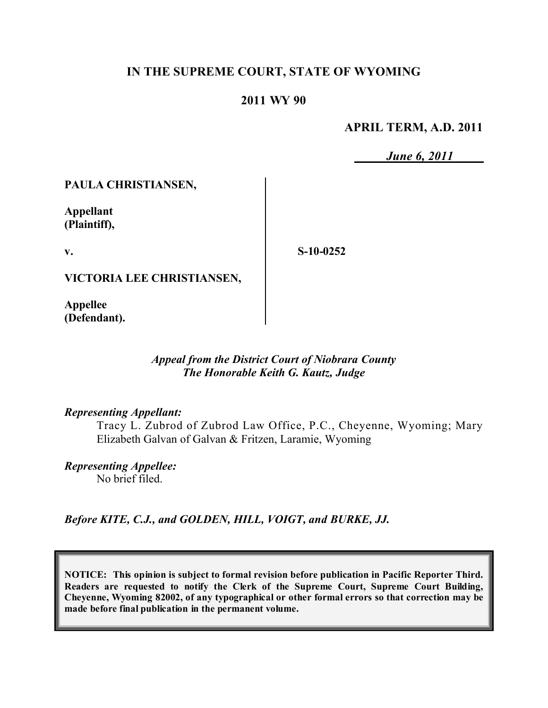# **IN THE SUPREME COURT, STATE OF WYOMING**

### **2011 WY 90**

#### **APRIL TERM, A.D. 2011**

*June 6, 2011*

**PAULA CHRISTIANSEN,**

**Appellant (Plaintiff),**

**v.**

**S-10-0252**

**VICTORIA LEE CHRISTIANSEN,**

**Appellee (Defendant).**

### *Appeal from the District Court of Niobrara County The Honorable Keith G. Kautz, Judge*

#### *Representing Appellant:*

Tracy L. Zubrod of Zubrod Law Office, P.C., Cheyenne, Wyoming; Mary Elizabeth Galvan of Galvan & Fritzen, Laramie, Wyoming

*Representing Appellee:* No brief filed.

*Before KITE, C.J., and GOLDEN, HILL, VOIGT, and BURKE, JJ.*

**NOTICE: This opinion is subject to formal revision before publication in Pacific Reporter Third. Readers are requested to notify the Clerk of the Supreme Court, Supreme Court Building, Cheyenne, Wyoming 82002, of any typographical or other formal errors so that correction may be made before final publication in the permanent volume.**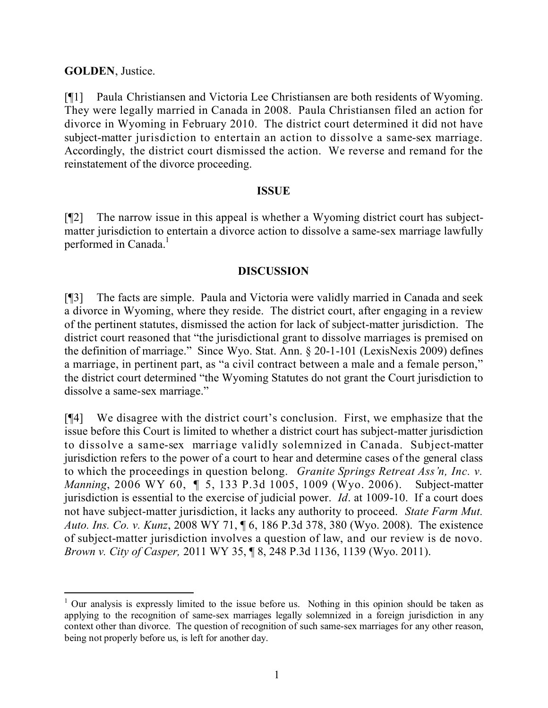# **GOLDEN**, Justice.

 $\overline{a}$ 

[¶1] Paula Christiansen and Victoria Lee Christiansen are both residents of Wyoming. They were legally married in Canada in 2008. Paula Christiansen filed an action for divorce in Wyoming in February 2010. The district court determined it did not have subject-matter jurisdiction to entertain an action to dissolve a same-sex marriage. Accordingly, the district court dismissed the action. We reverse and remand for the reinstatement of the divorce proceeding.

## **ISSUE**

[¶2] The narrow issue in this appeal is whether a Wyoming district court has subjectmatter jurisdiction to entertain a divorce action to dissolve a same-sex marriage lawfully performed in Canada.<sup>1</sup>

## **DISCUSSION**

[¶3] The facts are simple. Paula and Victoria were validly married in Canada and seek a divorce in Wyoming, where they reside. The district court, after engaging in a review of the pertinent statutes, dismissed the action for lack of subject-matter jurisdiction. The district court reasoned that "the jurisdictional grant to dissolve marriages is premised on the definition of marriage." Since Wyo. Stat. Ann. § 20-1-101 (LexisNexis 2009) defines a marriage, in pertinent part, as "a civil contract between a male and a female person," the district court determined "the Wyoming Statutes do not grant the Court jurisdiction to dissolve a same-sex marriage."

[¶4] We disagree with the district court's conclusion. First, we emphasize that the issue before this Court is limited to whether a district court has subject-matter jurisdiction to dissolve a same-sex marriage validly solemnized in Canada. Subject-matter jurisdiction refers to the power of a court to hear and determine cases of the general class to which the proceedings in question belong. *Granite Springs Retreat Ass'n, Inc. v. Manning*, 2006 WY 60, ¶ 5, 133 P.3d 1005, 1009 (Wyo. 2006). Subject-matter jurisdiction is essential to the exercise of judicial power. *Id*. at 1009-10. If a court does not have subject-matter jurisdiction, it lacks any authority to proceed. *State Farm Mut. Auto. Ins. Co. v. Kunz*, 2008 WY 71, ¶ 6, 186 P.3d 378, 380 (Wyo. 2008). The existence of subject-matter jurisdiction involves a question of law, and our review is de novo. *Brown v. City of Casper,* 2011 WY 35, ¶ 8, 248 P.3d 1136, 1139 (Wyo. 2011).

 $1$  Our analysis is expressly limited to the issue before us. Nothing in this opinion should be taken as applying to the recognition of same-sex marriages legally solemnized in a foreign jurisdiction in any context other than divorce. The question of recognition of such same-sex marriages for any other reason, being not properly before us, is left for another day.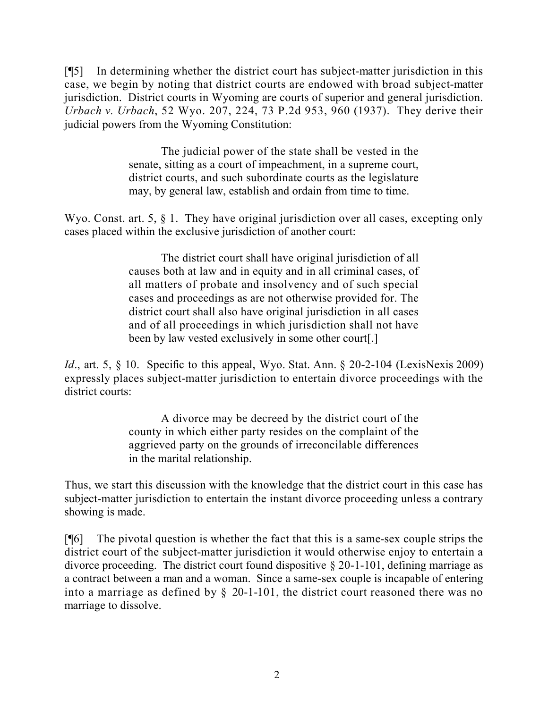[¶5] In determining whether the district court has subject-matter jurisdiction in this case, we begin by noting that district courts are endowed with broad subject-matter jurisdiction. District courts in Wyoming are courts of superior and general jurisdiction. *Urbach v. Urbach*, 52 Wyo. 207, 224, 73 P.2d 953, 960 (1937). They derive their judicial powers from the Wyoming Constitution:

> The judicial power of the state shall be vested in the senate, sitting as a court of impeachment, in a supreme court, district courts, and such subordinate courts as the legislature may, by general law, establish and ordain from time to time.

Wyo. Const. art. 5, § 1. They have original jurisdiction over all cases, excepting only cases placed within the exclusive jurisdiction of another court:

> The district court shall have original jurisdiction of all causes both at law and in equity and in all criminal cases, of all matters of probate and insolvency and of such special cases and proceedings as are not otherwise provided for. The district court shall also have original jurisdiction in all cases and of all proceedings in which jurisdiction shall not have been by law vested exclusively in some other court[.]

*Id.*, art. 5, § 10. Specific to this appeal, Wyo. Stat. Ann. § 20-2-104 (LexisNexis 2009) expressly places subject-matter jurisdiction to entertain divorce proceedings with the district courts:

> A divorce may be decreed by the district court of the county in which either party resides on the complaint of the aggrieved party on the grounds of irreconcilable differences in the marital relationship.

Thus, we start this discussion with the knowledge that the district court in this case has subject-matter jurisdiction to entertain the instant divorce proceeding unless a contrary showing is made.

[¶6] The pivotal question is whether the fact that this is a same-sex couple strips the district court of the subject-matter jurisdiction it would otherwise enjoy to entertain a divorce proceeding. The district court found dispositive § 20-1-101, defining marriage as a contract between a man and a woman. Since a same-sex couple is incapable of entering into a marriage as defined by § 20-1-101, the district court reasoned there was no marriage to dissolve.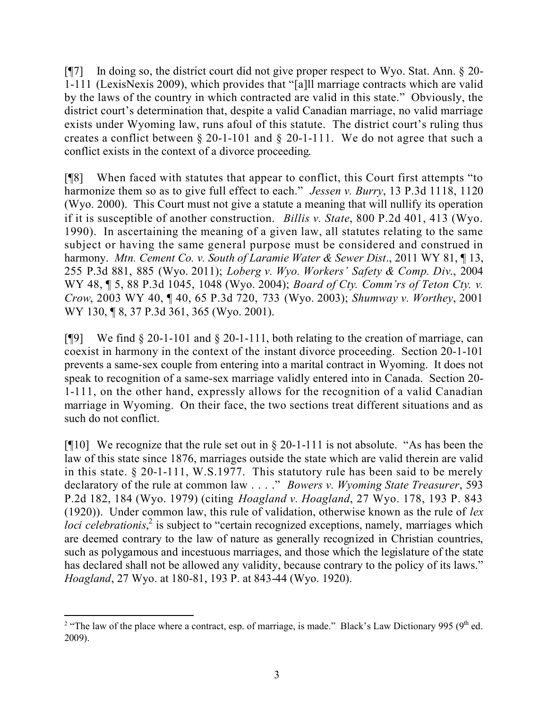[¶7] In doing so, the district court did not give proper respect to Wyo. Stat. Ann. § 20- 1-111 (LexisNexis 2009), which provides that "[a]ll marriage contracts which are valid by the laws of the country in which contracted are valid in this state." Obviously, the district court's determination that, despite a valid Canadian marriage, no valid marriage exists under Wyoming law, runs afoul of this statute. The district court's ruling thus creates a conflict between § 20-1-101 and § 20-1-111. We do not agree that such a conflict exists in the context of a divorce proceeding.

[¶8] When faced with statutes that appear to conflict, this Court first attempts "to harmonize them so as to give full effect to each." *Jessen v. Burry*, 13 P.3d 1118, 1120 (Wyo. 2000). This Court must not give a statute a meaning that will nullify its operation if it is susceptible of another construction. *Billis v. State*, 800 P.2d 401, 413 (Wyo. 1990). In ascertaining the meaning of a given law, all statutes relating to the same subject or having the same general purpose must be considered and construed in harmony. *Mtn. Cement Co. v. South of Laramie Water & Sewer Dist*., 2011 WY 81, ¶ 13, 255 P.3d 881, 885 (Wyo. 2011); *Loberg v. Wyo. Workers' Safety & Comp. Div*., 2004 WY 48, ¶ 5, 88 P.3d 1045, 1048 (Wyo. 2004); *Board of Cty. Comm'rs of Teton Cty. v. Crow*, 2003 WY 40, ¶ 40, 65 P.3d 720, 733 (Wyo. 2003); *Shumway v. Worthey*, 2001 WY 130, ¶ 8, 37 P.3d 361, 365 (Wyo. 2001).

[¶9] We find § 20-1-101 and § 20-1-111, both relating to the creation of marriage, can coexist in harmony in the context of the instant divorce proceeding. Section 20-1-101 prevents a same-sex couple from entering into a marital contract in Wyoming. It does not speak to recognition of a same-sex marriage validly entered into in Canada. Section 20- 1-111, on the other hand, expressly allows for the recognition of a valid Canadian marriage in Wyoming. On their face, the two sections treat different situations and as such do not conflict.

[ $[$ [10] We recognize that the rule set out in § 20-1-111 is not absolute. "As has been the law of this state since 1876, marriages outside the state which are valid therein are valid in this state. § 20-1-111, W.S.1977. This statutory rule has been said to be merely declaratory of the rule at common law . . . ." *Bowers v. Wyoming State Treasurer*, 593 P.2d 182, 184 (Wyo. 1979) (citing *Hoagland v. Hoagland*, 27 Wyo. 178, 193 P. 843 (1920)). Under common law, this rule of validation, otherwise known as the rule of *lex* loci celebrationis,<sup>2</sup> is subject to "certain recognized exceptions, namely, marriages which are deemed contrary to the law of nature as generally recognized in Christian countries, such as polygamous and incestuous marriages, and those which the legislature of the state has declared shall not be allowed any validity, because contrary to the policy of its laws." *Hoagland*, 27 Wyo. at 180-81, 193 P. at 843-44 (Wyo. 1920).

<sup>&</sup>lt;sup>2</sup> "The law of the place where a contract, esp. of marriage, is made." Black's Law Dictionary 995 (9<sup>th</sup> ed. 2009).